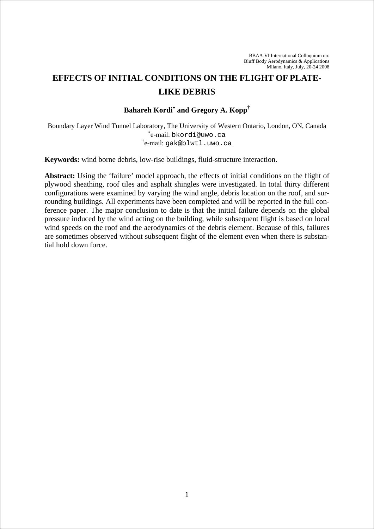# **EFFECTS OF INITIAL CONDITIONS ON THE FLIGHT OF PLATE-LIKE DEBRIS**

## **Bahareh Kordi**<sup>∗</sup>  **and Gregory A. Kopp†**

Boundary Layer Wind Tunnel Laboratory, The University of Western Ontario, London, ON, Canada ∗ e-mail: bkordi@uwo.ca † e-mail: gak@blwtl.uwo.ca

**Keywords:** wind borne debris, low-rise buildings, fluid-structure interaction.

**Abstract:** Using the 'failure' model approach, the effects of initial conditions on the flight of plywood sheathing, roof tiles and asphalt shingles were investigated. In total thirty different configurations were examined by varying the wind angle, debris location on the roof, and surrounding buildings. All experiments have been completed and will be reported in the full conference paper. The major conclusion to date is that the initial failure depends on the global pressure induced by the wind acting on the building, while subsequent flight is based on local wind speeds on the roof and the aerodynamics of the debris element. Because of this, failures are sometimes observed without subsequent flight of the element even when there is substantial hold down force.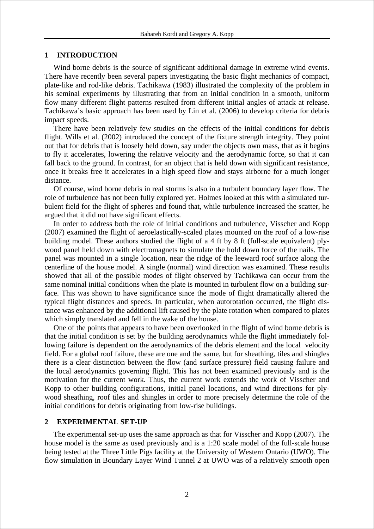#### **1 INTRODUCTION**

Wind borne debris is the source of significant additional damage in extreme wind events. There have recently been several papers investigating the basic flight mechanics of compact, plate-like and rod-like debris. Tachikawa (1983) illustrated the complexity of the problem in his seminal experiments by illustrating that from an initial condition in a smooth, uniform flow many different flight patterns resulted from different initial angles of attack at release. Tachikawa's basic approach has been used by Lin et al. (2006) to develop criteria for debris impact speeds.

There have been relatively few studies on the effects of the initial conditions for debris flight. Wills et al. (2002) introduced the concept of the fixture strength integrity. They point out that for debris that is loosely held down, say under the objects own mass, that as it begins to fly it accelerates, lowering the relative velocity and the aerodynamic force, so that it can fall back to the ground. In contrast, for an object that is held down with significant resistance, once it breaks free it accelerates in a high speed flow and stays airborne for a much longer distance.

Of course, wind borne debris in real storms is also in a turbulent boundary layer flow. The role of turbulence has not been fully explored yet. Holmes looked at this with a simulated turbulent field for the flight of spheres and found that, while turbulence increased the scatter, he argued that it did not have significant effects.

In order to address both the role of initial conditions and turbulence, Visscher and Kopp (2007) examined the flight of aeroelastically-scaled plates mounted on the roof of a low-rise building model. These authors studied the flight of a 4 ft by 8 ft (full-scale equivalent) plywood panel held down with electromagnets to simulate the hold down force of the nails. The panel was mounted in a single location, near the ridge of the leeward roof surface along the centerline of the house model. A single (normal) wind direction was examined. These results showed that all of the possible modes of flight observed by Tachikawa can occur from the same nominal initial conditions when the plate is mounted in turbulent flow on a building surface. This was shown to have significance since the mode of flight dramatically altered the typical flight distances and speeds. In particular, when autorotation occurred, the flight distance was enhanced by the additional lift caused by the plate rotation when compared to plates which simply translated and fell in the wake of the house.

One of the points that appears to have been overlooked in the flight of wind borne debris is that the initial condition is set by the building aerodynamics while the flight immediately following failure is dependent on the aerodynamics of the debris element and the local velocity field. For a global roof failure, these are one and the same, but for sheathing, tiles and shingles there is a clear distinction between the flow (and surface pressure) field causing failure and the local aerodynamics governing flight. This has not been examined previously and is the motivation for the current work. Thus, the current work extends the work of Visscher and Kopp to other building configurations, initial panel locations, and wind directions for plywood sheathing, roof tiles and shingles in order to more precisely determine the role of the initial conditions for debris originating from low-rise buildings.

#### **2 EXPERIMENTAL SET-UP**

The experimental set-up uses the same approach as that for Visscher and Kopp (2007). The house model is the same as used previously and is a 1:20 scale model of the full-scale house being tested at the Three Little Pigs facility at the University of Western Ontario (UWO). The flow simulation in Boundary Layer Wind Tunnel 2 at UWO was of a relatively smooth open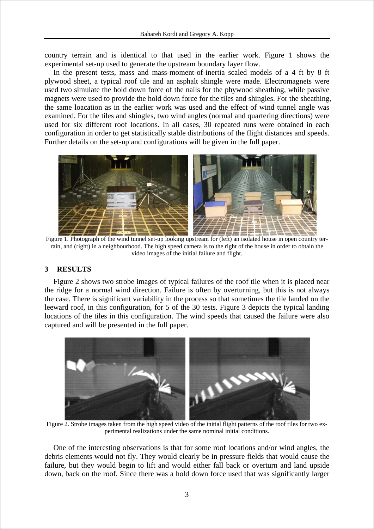country terrain and is identical to that used in the earlier work. Figure 1 shows the experimental set-up used to generate the upstream boundary layer flow.

In the present tests, mass and mass-moment-of-inertia scaled models of a 4 ft by 8 ft plywood sheet, a typical roof tile and an asphalt shingle were made. Electromagnets were used two simulate the hold down force of the nails for the phywood sheathing, while passive magnets were used to provide the hold down force for the tiles and shingles. For the sheathing, the same loacation as in the earlier work was used and the effect of wind tunnel angle was examined. For the tiles and shingles, two wind angles (normal and quartering directions) were used for six different roof locations. In all cases, 30 repeated runs were obtained in each configuration in order to get statistically stable distributions of the flight distances and speeds. Further details on the set-up and configurations will be given in the full paper.



 Figure 1. Photograph of the wind tunnel set-up looking upstream for (left) an isolated house in open country terrain, and (right) in a neighbourhood. The high speed camera is to the right of the house in order to obtain the video images of the initial failure and flight.

## **3 RESULTS**

Figure 2 shows two strobe images of typical failures of the roof tile when it is placed near the ridge for a normal wind direction. Failure is often by overturning, but this is not always the case. There is significant variability in the process so that sometimes the tile landed on the leeward roof, in this configuration, for 5 of the 30 tests. Figure 3 depicts the typical landing locations of the tiles in this configuration. The wind speeds that caused the failure were also captured and will be presented in the full paper.



Figure 2. Strobe images taken from the high speed video of the initial flight patterns of the roof tiles for two experimental realizations under the same nominal initial conditions.

One of the interesting observations is that for some roof locations and/or wind angles, the debris elements would not fly. They would clearly be in pressure fields that would cause the failure, but they would begin to lift and would either fall back or overturn and land upside down, back on the roof. Since there was a hold down force used that was significantly larger